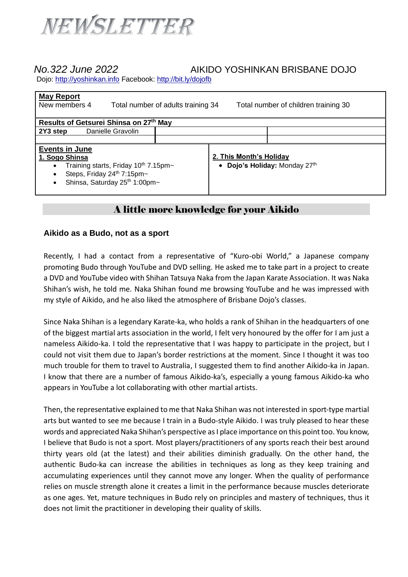

## *No.322 June 2022* AIKIDO YOSHINKAN BRISBANE DOJO

Dojo: [http://yoshinkan.info](http://yoshinkan.info/) Facebook:<http://bit.ly/dojofb>

| <b>May Report</b><br>New members 4<br>Total number of adults training 34<br>Total number of children training 30                                            |  |                         |                               |
|-------------------------------------------------------------------------------------------------------------------------------------------------------------|--|-------------------------|-------------------------------|
| Results of Getsurei Shinsa on 27th May                                                                                                                      |  |                         |                               |
| 2Y3 step<br>Danielle Gravolin                                                                                                                               |  |                         |                               |
|                                                                                                                                                             |  |                         |                               |
| <b>Events in June</b><br>1. Sogo Shinsa<br>Training starts, Friday 10th 7.15pm~<br>$\bullet$<br>Steps, Friday 24th 7:15pm~<br>Shinsa, Saturday 25th 1:00pm~ |  | 2. This Month's Holiday | • Dojo's Holiday: Monday 27th |

## A little more knowledge for your Aikido

## **Aikido as a Budo, not as a sport**

Recently, I had a contact from a representative of "Kuro-obi World," a Japanese company promoting Budo through YouTube and DVD selling. He asked me to take part in a project to create a DVD and YouTube video with Shihan Tatsuya Naka from the Japan Karate Association. It was Naka Shihan's wish, he told me. Naka Shihan found me browsing YouTube and he was impressed with my style of Aikido, and he also liked the atmosphere of Brisbane Dojo's classes.

Since Naka Shihan is a legendary Karate-ka, who holds a rank of Shihan in the headquarters of one of the biggest martial arts association in the world, I felt very honoured by the offer for I am just a nameless Aikido-ka. I told the representative that I was happy to participate in the project, but I could not visit them due to Japan's border restrictions at the moment. Since I thought it was too much trouble for them to travel to Australia, I suggested them to find another Aikido-ka in Japan. I know that there are a number of famous Aikido-ka's, especially a young famous Aikido-ka who appears in YouTube a lot collaborating with other martial artists.

Then, the representative explained to me that Naka Shihan was not interested in sport-type martial arts but wanted to see me because I train in a Budo-style Aikido. I was truly pleased to hear these words and appreciated Naka Shihan's perspective as I place importance on this point too. You know, I believe that Budo is not a sport. Most players/practitioners of any sports reach their best around thirty years old (at the latest) and their abilities diminish gradually. On the other hand, the authentic Budo-ka can increase the abilities in techniques as long as they keep training and accumulating experiences until they cannot move any longer. When the quality of performance relies on muscle strength alone it creates a limit in the performance because muscles deteriorate as one ages. Yet, mature techniques in Budo rely on principles and mastery of techniques, thus it does not limit the practitioner in developing their quality of skills.